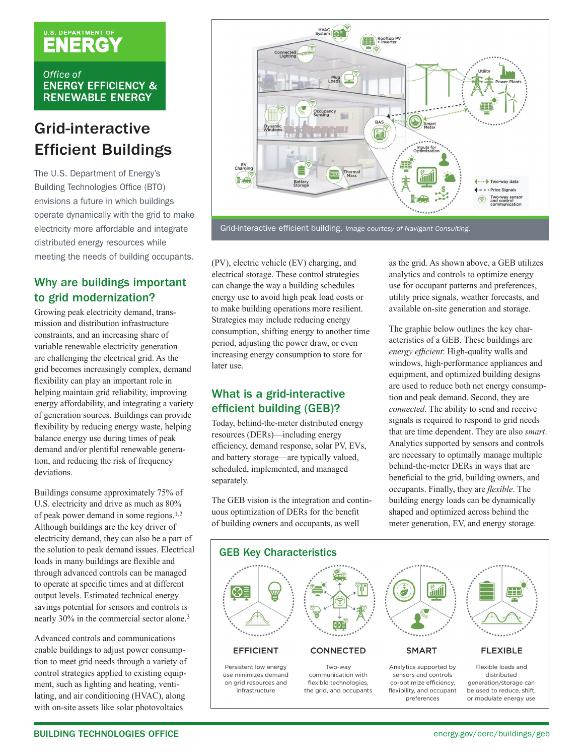# U.S. DEPARTMENT OF

Office of **ENERGY EFFICIENCY & RENEWABLE ENERGY** 

# Grid-interactive Efficient Buildings

The U.S. Department of Energy's Building Technologies Office (BTO) envisions a future in which buildings operate dynamically with the grid to make electricity more affordable and integrate distributed energy resources while meeting the needs of building occupants.

# Why are buildings important to grid modernization?

Growing peak electricity demand, transmission and distribution infrastructure constraints, and an increasing share of variable renewable electricity generation are challenging the electrical grid. As the grid becomes increasingly complex, demand flexibility can play an important role in helping maintain grid reliability, improving energy affordability, and integrating a variety of generation sources. Buildings can provide flexibility by reducing energy waste, helping balance energy use during times of peak demand and/or plentiful renewable generation, and reducing the risk of frequency deviations.

Buildings consume approximately 75% of U.S. electricity and drive as much as 80% of peak power demand in some regions.1,2 Although buildings are the key driver of electricity demand, they can also be a part of the solution to peak demand issues. Electrical loads in many buildings are flexible and through advanced controls can be managed to operate at specific times and at different output levels. Estimated technical energy savings potential for sensors and controls is nearly 30% in the commercial sector alone.3

Advanced controls and communications enable buildings to adjust power consumption to meet grid needs through a variety of control strategies applied to existing equipment, such as lighting and heating, ventilating, and air conditioning (HVAC), along with on-site assets like solar photovoltaics



(PV), electric vehicle (EV) charging, and electrical storage. These control strategies can change the way a building schedules energy use to avoid high peak load costs or to make building operations more resilient. Strategies may include reducing energy consumption, shifting energy to another time period, adjusting the power draw, or even increasing energy consumption to store for later use.

# What is a grid-interactive efficient building (GEB)?

Today, behind-the-meter distributed energy resources (DERs)—including energy efficiency, demand response, solar PV, EVs, and battery storage—are typically valued, scheduled, implemented, and managed separately.

The GEB vision is the integration and continuous optimization of DERs for the benefit of building owners and occupants, as well

as the grid. As shown above, a GEB utilizes analytics and controls to optimize energy use for occupant patterns and preferences, utility price signals, weather forecasts, and available on-site generation and storage.

The graphic below outlines the key characteristics of a GEB. These buildings are *energy efficient*: High-quality walls and windows, high-performance appliances and equipment, and optimized building designs are used to reduce both net energy consumption and peak demand. Second, they are *connected*. The ability to send and receive signals is required to respond to grid needs that are time dependent. They are also *smart*. Analytics supported by sensors and controls are necessary to optimally manage multiple behind-the-meter DERs in ways that are beneficial to the grid, building owners, and occupants. Finally, they are *flexible*. The building energy loads can be dynamically shaped and optimized across behind the meter generation, EV, and energy storage.